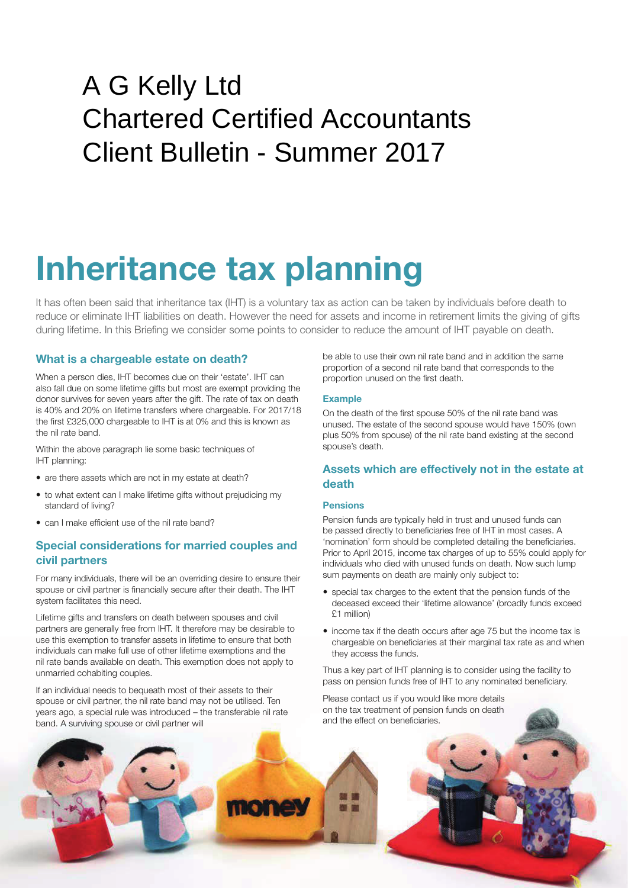# A G Kelly Ltd Chartered Certified Accountants Client Bulletin - Summer 2017

# **Inheritance tax planning**

It has often been said that inheritance tax (IHT) is a voluntary tax as action can be taken by individuals before death to reduce or eliminate IHT liabilities on death. However the need for assets and income in retirement limits the giving of gifts during lifetime. In this Briefing we consider some points to consider to reduce the amount of IHT payable on death.

## **What is a chargeable estate on death?**

When a person dies, IHT becomes due on their 'estate'. IHT can also fall due on some lifetime gifts but most are exempt providing the donor survives for seven years after the gift. The rate of tax on death is 40% and 20% on lifetime transfers where chargeable. For 2017/18 the first £325,000 chargeable to IHT is at 0% and this is known as the nil rate band.

Within the above paragraph lie some basic techniques of IHT planning:

- are there assets which are not in my estate at death?
- to what extent can I make lifetime gifts without prejudicing my standard of living?
- can I make efficient use of the nil rate band?

# **Special considerations for married couples and civil partners**

For many individuals, there will be an overriding desire to ensure their spouse or civil partner is financially secure after their death. The IHT system facilitates this need.

Lifetime gifts and transfers on death between spouses and civil partners are generally free from IHT. It therefore may be desirable to use this exemption to transfer assets in lifetime to ensure that both individuals can make full use of other lifetime exemptions and the nil rate bands available on death. This exemption does not apply to unmarried cohabiting couples.

If an individual needs to bequeath most of their assets to their spouse or civil partner, the nil rate band may not be utilised. Ten years ago, a special rule was introduced – the transferable nil rate band. A surviving spouse or civil partner will

be able to use their own nil rate band and in addition the same proportion of a second nil rate band that corresponds to the proportion unused on the first death.

#### **Example**

On the death of the first spouse 50% of the nil rate band was unused. The estate of the second spouse would have 150% (own plus 50% from spouse) of the nil rate band existing at the second spouse's death.

## **Assets which are effectively not in the estate at death**

#### **Pensions**

Pension funds are typically held in trust and unused funds can be passed directly to beneficiaries free of IHT in most cases. A 'nomination' form should be completed detailing the beneficiaries. Prior to April 2015, income tax charges of up to 55% could apply for individuals who died with unused funds on death. Now such lump sum payments on death are mainly only subject to:

- special tax charges to the extent that the pension funds of the deceased exceed their 'lifetime allowance' (broadly funds exceed £1 million)
- income tax if the death occurs after age 75 but the income tax is chargeable on beneficiaries at their marginal tax rate as and when they access the funds.

Thus a key part of IHT planning is to consider using the facility to pass on pension funds free of IHT to any nominated beneficiary.

Please contact us if you would like more details on the tax treatment of pension funds on death and the effect on beneficiaries.